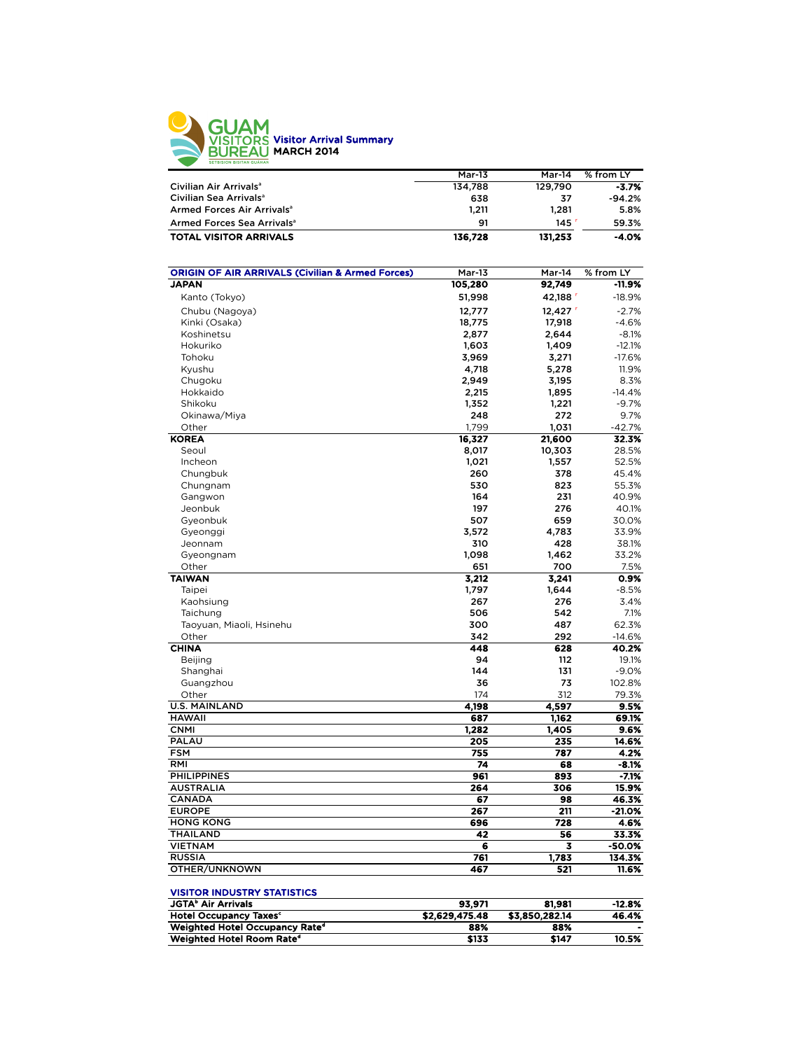

|                                        | <b>Mar-13</b> | Mar-14  | % from LY |
|----------------------------------------|---------------|---------|-----------|
| Civilian Air Arrivals <sup>a</sup>     | 134.788       | 129.790 | $-3.7%$   |
| Civilian Sea Arrivals <sup>a</sup>     | 638           | 37      | $-94.2%$  |
| Armed Forces Air Arrivals <sup>a</sup> | 1.211         | 1.281   | 5.8%      |
| Armed Forces Sea Arrivals <sup>a</sup> | 91            | 145     | 59.3%     |
| <b>TOTAL VISITOR ARRIVALS</b>          | 136.728       | 131.253 | $-4.0%$   |

| <b>ORIGIN OF AIR ARRIVALS (Civilian &amp; Armed Forces)</b> | $Mar-13$       | Mar-14         | % from LY         |
|-------------------------------------------------------------|----------------|----------------|-------------------|
| <b>JAPAN</b>                                                | 105,280        | 92,749         | -11.9%            |
| Kanto (Tokyo)                                               | 51,998         | 42,188         | $-18.9%$          |
| Chubu (Nagoya)                                              | 12,777         | 12,427         | $-2.7%$           |
| Kinki (Osaka)                                               | 18,775         | 17,918         | $-4.6%$           |
| Koshinetsu                                                  | 2,877          | 2,644          | $-8.1%$           |
| Hokuriko                                                    | 1,603          | 1,409          | $-12.1%$          |
| Tohoku                                                      | 3,969          | 3,271          | $-17.6%$          |
| Kyushu                                                      | 4,718          | 5,278          | 11.9%             |
| Chugoku                                                     | 2,949          | 3,195          | 8.3%              |
| Hokkaido                                                    | 2,215          | 1,895          | $-14.4%$          |
| Shikoku                                                     | 1,352          | 1,221          | $-9.7%$           |
| Okinawa/Miya                                                | 248            | 272            | 9.7%              |
| Other                                                       | 1,799          | 1,031          | $-42.7%$          |
| <b>KOREA</b>                                                | 16,327         | 21,600         | 32.3%             |
| Seoul                                                       | 8,017          | 10,303         | 28.5%             |
| Incheon                                                     | 1,021          | 1,557          | 52.5%             |
| Chungbuk                                                    | 260            | 378            | 45.4%             |
| Chungnam                                                    | 530            | 823            | 55.3%             |
| Gangwon                                                     | 164            | 231            | 40.9%             |
| Jeonbuk                                                     | 197            | 276            | 40.1%             |
|                                                             | 507            | 659            | 30.0%             |
| Gyeonbuk                                                    |                |                | 33.9%             |
| Gyeonggi                                                    | 3,572          | 4,783          |                   |
| Jeonnam                                                     | 310            | 428            | 38.1%             |
| Gyeongnam                                                   | 1,098          | 1,462          | 33.2%             |
| Other                                                       | 651            | 700            | 7.5%<br>0.9%      |
| <b>TAIWAN</b>                                               | 3,212          | 3,241          | $-8.5%$           |
| Taipei                                                      | 1,797          | 1,644          |                   |
| Kaohsiung                                                   | 267<br>506     | 276<br>542     | 3.4%              |
| Taichung                                                    |                |                | 7.1%              |
| Taoyuan, Miaoli, Hsinehu<br>Other                           | 300<br>342     | 487<br>292     | 62.3%             |
| <b>CHINA</b>                                                | 448            | 628            | $-14.6%$<br>40.2% |
| <b>Beijing</b>                                              | 94             | 112            | 19.1%             |
|                                                             | 144            | 131            | $-9.0%$           |
| Shanghai                                                    |                | 73             |                   |
| Guangzhou                                                   | 36             | 312            | 102.8%            |
| Other<br><b>U.S. MAINLAND</b>                               | 174            | 4.597          | 79.3%             |
| <b>HAWAII</b>                                               | 4,198<br>687   |                | 9.5%<br>69.1%     |
| <b>CNMI</b>                                                 | 1,282          | 1,162<br>1,405 | 9.6%              |
| PALAU                                                       | 205            | 235            | 14.6%             |
| <b>FSM</b>                                                  | 755            | 787            | 4.2%              |
| RMI                                                         | 74             | 68             | $-8.1%$           |
| <b>PHILIPPINES</b>                                          | 961            | 893            | $-7.1%$           |
| <b>AUSTRALIA</b>                                            | 264            | 306            | 15.9%             |
|                                                             | 67             | 98             | 46.3%             |
| CANADA<br><b>EUROPE</b>                                     | 267            | 211            | $-21.0%$          |
| <b>HONG KONG</b>                                            | 696            |                |                   |
|                                                             |                | 728            | 4.6%              |
| <b>THAILAND</b>                                             | 42             | 56             | 33.3%             |
| <b>VIETNAM</b>                                              | 6<br>761       | 3              | $-50.0%$          |
| <b>RUSSIA</b>                                               |                | 1,783          | 134.3%            |
| OTHER/UNKNOWN                                               | 467            | 521            | 11.6%             |
| <b>VISITOR INDUSTRY STATISTICS</b>                          |                |                |                   |
| <b>JGTA</b> <sup>b</sup> Air Arrivals                       | 93,971         | 81,981         | $-12.8%$          |
| <b>Hotel Occupancy Taxes<sup>c</sup></b>                    | \$2,629,475.48 | \$3,850,282.14 | 46.4%             |

Weighted Hotel Occupancy Rated 88% 88% - Weighted Hotel Room Rate<sup>d</sup>  $$133$   $$147$   $10.5\%$